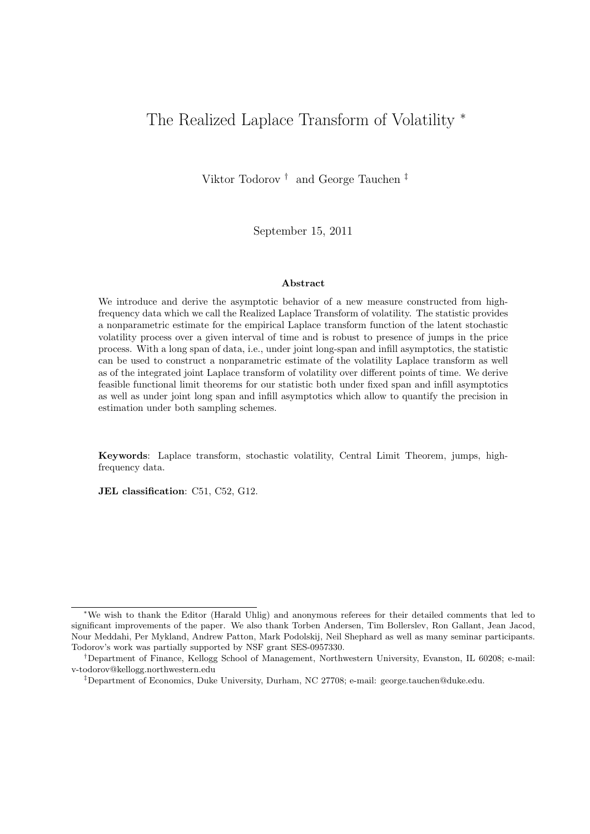# The Realized Laplace Transform of Volatility *<sup>∗</sup>*

Viktor Todorov *†* and George Tauchen *‡*

September 15, 2011

#### **Abstract**

We introduce and derive the asymptotic behavior of a new measure constructed from highfrequency data which we call the Realized Laplace Transform of volatility. The statistic provides a nonparametric estimate for the empirical Laplace transform function of the latent stochastic volatility process over a given interval of time and is robust to presence of jumps in the price process. With a long span of data, i.e., under joint long-span and infill asymptotics, the statistic can be used to construct a nonparametric estimate of the volatility Laplace transform as well as of the integrated joint Laplace transform of volatility over different points of time. We derive feasible functional limit theorems for our statistic both under fixed span and infill asymptotics as well as under joint long span and infill asymptotics which allow to quantify the precision in estimation under both sampling schemes.

**Keywords**: Laplace transform, stochastic volatility, Central Limit Theorem, jumps, highfrequency data.

**JEL classification**: C51, C52, G12.

*<sup>∗</sup>*We wish to thank the Editor (Harald Uhlig) and anonymous referees for their detailed comments that led to significant improvements of the paper. We also thank Torben Andersen, Tim Bollerslev, Ron Gallant, Jean Jacod, Nour Meddahi, Per Mykland, Andrew Patton, Mark Podolskij, Neil Shephard as well as many seminar participants. Todorov's work was partially supported by NSF grant SES-0957330.

*<sup>†</sup>*Department of Finance, Kellogg School of Management, Northwestern University, Evanston, IL 60208; e-mail: v-todorov@kellogg.northwestern.edu

*<sup>‡</sup>*Department of Economics, Duke University, Durham, NC 27708; e-mail: george.tauchen@duke.edu.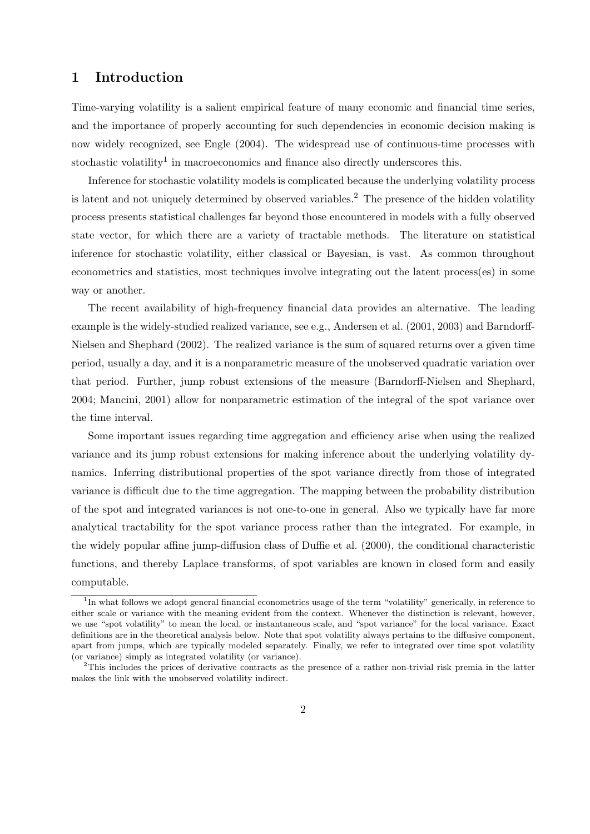# **1 Introduction**

Time-varying volatility is a salient empirical feature of many economic and financial time series, and the importance of properly accounting for such dependencies in economic decision making is now widely recognized, see Engle (2004). The widespread use of continuous-time processes with stochastic volatility<sup>1</sup> in macroeconomics and finance also directly underscores this.

Inference for stochastic volatility models is complicated because the underlying volatility process is latent and not uniquely determined by observed variables.<sup>2</sup> The presence of the hidden volatility process presents statistical challenges far beyond those encountered in models with a fully observed state vector, for which there are a variety of tractable methods. The literature on statistical inference for stochastic volatility, either classical or Bayesian, is vast. As common throughout econometrics and statistics, most techniques involve integrating out the latent process(es) in some way or another.

The recent availability of high-frequency financial data provides an alternative. The leading example is the widely-studied realized variance, see e.g., Andersen et al. (2001, 2003) and Barndorff-Nielsen and Shephard (2002). The realized variance is the sum of squared returns over a given time period, usually a day, and it is a nonparametric measure of the unobserved quadratic variation over that period. Further, jump robust extensions of the measure (Barndorff-Nielsen and Shephard, 2004; Mancini, 2001) allow for nonparametric estimation of the integral of the spot variance over the time interval.

Some important issues regarding time aggregation and efficiency arise when using the realized variance and its jump robust extensions for making inference about the underlying volatility dynamics. Inferring distributional properties of the spot variance directly from those of integrated variance is difficult due to the time aggregation. The mapping between the probability distribution of the spot and integrated variances is not one-to-one in general. Also we typically have far more analytical tractability for the spot variance process rather than the integrated. For example, in the widely popular affine jump-diffusion class of Duffie et al. (2000), the conditional characteristic functions, and thereby Laplace transforms, of spot variables are known in closed form and easily computable.

<sup>&</sup>lt;sup>1</sup>In what follows we adopt general financial econometrics usage of the term "volatility" generically, in reference to either scale or variance with the meaning evident from the context. Whenever the distinction is relevant, however, we use "spot volatility" to mean the local, or instantaneous scale, and "spot variance" for the local variance. Exact definitions are in the theoretical analysis below. Note that spot volatility always pertains to the diffusive component, apart from jumps, which are typically modeled separately. Finally, we refer to integrated over time spot volatility (or variance) simply as integrated volatility (or variance).

<sup>2</sup>This includes the prices of derivative contracts as the presence of a rather non-trivial risk premia in the latter makes the link with the unobserved volatility indirect.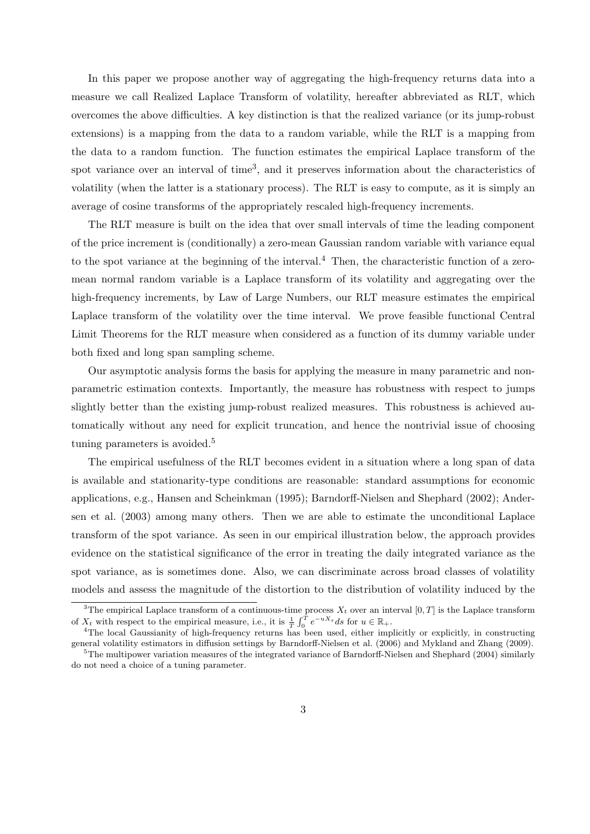In this paper we propose another way of aggregating the high-frequency returns data into a measure we call Realized Laplace Transform of volatility, hereafter abbreviated as RLT, which overcomes the above difficulties. A key distinction is that the realized variance (or its jump-robust extensions) is a mapping from the data to a random variable, while the RLT is a mapping from the data to a random function. The function estimates the empirical Laplace transform of the spot variance over an interval of time<sup>3</sup>, and it preserves information about the characteristics of volatility (when the latter is a stationary process). The RLT is easy to compute, as it is simply an average of cosine transforms of the appropriately rescaled high-frequency increments.

The RLT measure is built on the idea that over small intervals of time the leading component of the price increment is (conditionally) a zero-mean Gaussian random variable with variance equal to the spot variance at the beginning of the interval.<sup>4</sup> Then, the characteristic function of a zeromean normal random variable is a Laplace transform of its volatility and aggregating over the high-frequency increments, by Law of Large Numbers, our RLT measure estimates the empirical Laplace transform of the volatility over the time interval. We prove feasible functional Central Limit Theorems for the RLT measure when considered as a function of its dummy variable under both fixed and long span sampling scheme.

Our asymptotic analysis forms the basis for applying the measure in many parametric and nonparametric estimation contexts. Importantly, the measure has robustness with respect to jumps slightly better than the existing jump-robust realized measures. This robustness is achieved automatically without any need for explicit truncation, and hence the nontrivial issue of choosing tuning parameters is avoided.<sup>5</sup>

The empirical usefulness of the RLT becomes evident in a situation where a long span of data is available and stationarity-type conditions are reasonable: standard assumptions for economic applications, e.g., Hansen and Scheinkman (1995); Barndorff-Nielsen and Shephard (2002); Andersen et al. (2003) among many others. Then we are able to estimate the unconditional Laplace transform of the spot variance. As seen in our empirical illustration below, the approach provides evidence on the statistical significance of the error in treating the daily integrated variance as the spot variance, as is sometimes done. Also, we can discriminate across broad classes of volatility models and assess the magnitude of the distortion to the distribution of volatility induced by the

<sup>&</sup>lt;sup>3</sup>The empirical Laplace transform of a continuous-time process  $X_t$  over an interval  $[0,T]$  is the Laplace transform of  $X_t$  with respect to the empirical measure, i.e., it is  $\frac{1}{T} \int_0^T e^{-uX_s} ds$  for  $u \in \mathbb{R}_+$ .

<sup>&</sup>lt;sup>4</sup>The local Gaussianity of high-frequency returns has been used, either implicitly or explicitly, in constructing general volatility estimators in diffusion settings by Barndorff-Nielsen et al. (2006) and Mykland and Zhang (2009).  $5$ The multipower variation measures of the integrated variance of Barndorff-Nielsen and Shephard (2004) similarly

do not need a choice of a tuning parameter.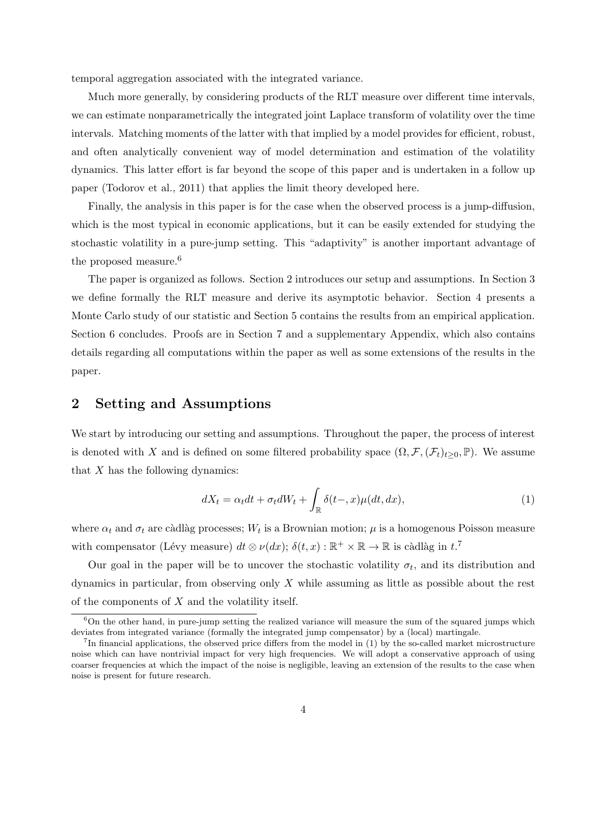temporal aggregation associated with the integrated variance.

Much more generally, by considering products of the RLT measure over different time intervals, we can estimate nonparametrically the integrated joint Laplace transform of volatility over the time intervals. Matching moments of the latter with that implied by a model provides for efficient, robust, and often analytically convenient way of model determination and estimation of the volatility dynamics. This latter effort is far beyond the scope of this paper and is undertaken in a follow up paper (Todorov et al., 2011) that applies the limit theory developed here.

Finally, the analysis in this paper is for the case when the observed process is a jump-diffusion, which is the most typical in economic applications, but it can be easily extended for studying the stochastic volatility in a pure-jump setting. This "adaptivity" is another important advantage of the proposed measure.<sup>6</sup>

The paper is organized as follows. Section 2 introduces our setup and assumptions. In Section 3 we define formally the RLT measure and derive its asymptotic behavior. Section 4 presents a Monte Carlo study of our statistic and Section 5 contains the results from an empirical application. Section 6 concludes. Proofs are in Section 7 and a supplementary Appendix, which also contains details regarding all computations within the paper as well as some extensions of the results in the paper.

### **2 Setting and Assumptions**

We start by introducing our setting and assumptions. Throughout the paper, the process of interest is denoted with *X* and is defined on some filtered probability space  $(\Omega, \mathcal{F}, (\mathcal{F}_t)_{t>0}, \mathbb{P})$ . We assume that *X* has the following dynamics:

$$
dX_t = \alpha_t dt + \sigma_t dW_t + \int_{\mathbb{R}} \delta(t-, x) \mu(dt, dx), \qquad (1)
$$

where  $\alpha_t$  and  $\sigma_t$  are càdlàg processes;  $W_t$  is a Brownian motion;  $\mu$  is a homogenous Poisson measure with compensator (Lévy measure)  $dt \otimes \nu(dx)$ ;  $\delta(t, x) : \mathbb{R}^+ \times \mathbb{R} \to \mathbb{R}$  is càdlàg in  $t$ .<sup>7</sup>

Our goal in the paper will be to uncover the stochastic volatility  $\sigma_t$ , and its distribution and dynamics in particular, from observing only *X* while assuming as little as possible about the rest of the components of *X* and the volatility itself.

<sup>6</sup>On the other hand, in pure-jump setting the realized variance will measure the sum of the squared jumps which deviates from integrated variance (formally the integrated jump compensator) by a (local) martingale.

<sup>&</sup>lt;sup>7</sup>In financial applications, the observed price differs from the model in (1) by the so-called market microstructure noise which can have nontrivial impact for very high frequencies. We will adopt a conservative approach of using coarser frequencies at which the impact of the noise is negligible, leaving an extension of the results to the case when noise is present for future research.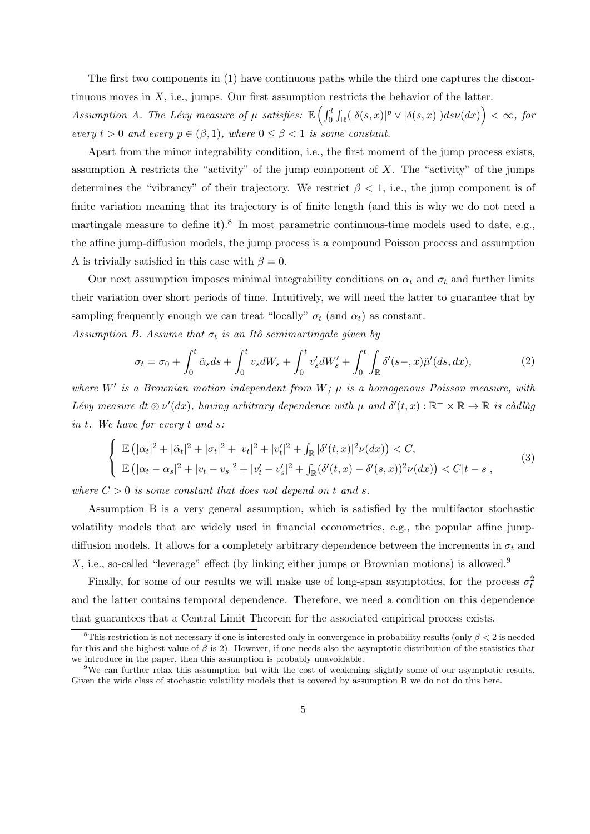The first two components in (1) have continuous paths while the third one captures the discontinuous moves in  $X$ , i.e., jumps. Our first assumption restricts the behavior of the latter.

Assumption A. The Lévy measure of  $\mu$  satisfies:  $\mathbb{E}\left(\int_0^t\int_{\mathbb{R}}(|\delta(s,x)|^p\vee|\delta(s,x)|)ds\nu(dx)\right)<\infty$ , for *every*  $t > 0$  *and every*  $p \in (\beta, 1)$ *, where*  $0 \leq \beta < 1$  *is some constant.* 

Apart from the minor integrability condition, i.e., the first moment of the jump process exists, assumption A restricts the "activity" of the jump component of *X*. The "activity" of the jumps determines the "vibrancy" of their trajectory. We restrict *β <* 1, i.e., the jump component is of finite variation meaning that its trajectory is of finite length (and this is why we do not need a martingale measure to define it).<sup>8</sup> In most parametric continuous-time models used to date, e.g., the affine jump-diffusion models, the jump process is a compound Poisson process and assumption A is trivially satisfied in this case with  $\beta = 0$ .

Our next assumption imposes minimal integrability conditions on  $\alpha_t$  and  $\sigma_t$  and further limits their variation over short periods of time. Intuitively, we will need the latter to guarantee that by sampling frequently enough we can treat "locally"  $\sigma_t$  (and  $\alpha_t$ ) as constant.

*Assumption B. Assume that*  $\sigma_t$  *is an Itô semimartingale given by* 

$$
\sigma_t = \sigma_0 + \int_0^t \tilde{\alpha}_s ds + \int_0^t v_s dW_s + \int_0^t v'_s dW'_s + \int_0^t \int_{\mathbb{R}} \delta'(s-, x) \tilde{\mu}'(ds, dx),\tag{2}
$$

*where*  $W'$  *is a Brownian motion independent from*  $W$ ;  $\mu$  *is a homogenous Poisson measure, with L*évy measure  $dt \otimes \nu'(dx)$ , having arbitrary dependence with  $\mu$  and  $\delta'(t, x) : \mathbb{R}^+ \times \mathbb{R} \to \mathbb{R}$  is càdlàg *in t. We have for every t and s:*

$$
\begin{cases} \mathbb{E} \left( |\alpha_t|^2 + |\tilde{\alpha}_t|^2 + |\sigma_t|^2 + |v_t|^2 + |v_t'|^2 + \int_{\mathbb{R}} |\delta'(t,x)|^2 \underline{\nu}(dx) \right) < C, \\ \mathbb{E} \left( |\alpha_t - \alpha_s|^2 + |v_t - v_s|^2 + |v_t' - v_s'|^2 + \int_{\mathbb{R}} (\delta'(t,x) - \delta'(s,x))^2 \underline{\nu}(dx) \right) < C|t - s|, \end{cases} \tag{3}
$$

*where*  $C > 0$  *is some constant that does not depend on t and s.* 

Assumption B is a very general assumption, which is satisfied by the multifactor stochastic volatility models that are widely used in financial econometrics, e.g., the popular affine jumpdiffusion models. It allows for a completely arbitrary dependence between the increments in  $\sigma_t$  and *X*, i.e., so-called "leverage" effect (by linking either jumps or Brownian motions) is allowed.<sup>9</sup>

Finally, for some of our results we will make use of long-span asymptotics, for the process  $\sigma_t^2$ and the latter contains temporal dependence. Therefore, we need a condition on this dependence that guarantees that a Central Limit Theorem for the associated empirical process exists.

<sup>8</sup>This restriction is not necessary if one is interested only in convergence in probability results (only *β <* 2 is needed for this and the highest value of  $\beta$  is 2). However, if one needs also the asymptotic distribution of the statistics that we introduce in the paper, then this assumption is probably unavoidable.

<sup>9</sup>We can further relax this assumption but with the cost of weakening slightly some of our asymptotic results. Given the wide class of stochastic volatility models that is covered by assumption B we do not do this here.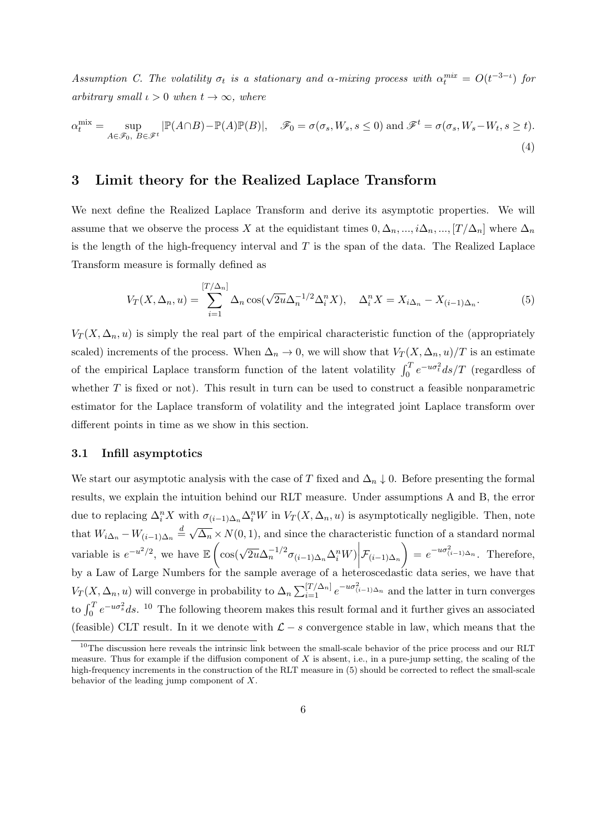*Assumption C. The volatility*  $\sigma_t$  *is a stationary and*  $\alpha$ *-mixing process with*  $\alpha_t^{mix} = O(t^{-3-t})$  *for arbitrary small*  $\iota > 0$  *when*  $t \to \infty$ *, where* 

$$
\alpha_t^{\text{mix}} = \sup_{A \in \mathscr{F}_0, \ B \in \mathscr{F}^t} |\mathbb{P}(A \cap B) - \mathbb{P}(A)\mathbb{P}(B)|, \quad \mathscr{F}_0 = \sigma(\sigma_s, W_s, s \le 0) \text{ and } \mathscr{F}^t = \sigma(\sigma_s, W_s - W_t, s \ge t).
$$
\n(4)

# **3 Limit theory for the Realized Laplace Transform**

We next define the Realized Laplace Transform and derive its asymptotic properties. We will assume that we observe the process *X* at the equidistant times  $0, \Delta_n, ..., i\Delta_n, ..., [T/\Delta_n]$  where  $\Delta_n$ is the length of the high-frequency interval and *T* is the span of the data. The Realized Laplace Transform measure is formally defined as

$$
V_T(X, \Delta_n, u) = \sum_{i=1}^{[T/\Delta_n]} \Delta_n \cos(\sqrt{2u}\Delta_n^{-1/2}\Delta_i^n X), \quad \Delta_i^n X = X_{i\Delta_n} - X_{(i-1)\Delta_n}.
$$
 (5)

 $V_T(X, \Delta_n, u)$  is simply the real part of the empirical characteristic function of the (appropriately scaled) increments of the process. When  $\Delta_n \to 0$ , we will show that  $V_T(X, \Delta_n, u)/T$  is an estimate of the empirical Laplace transform function of the latent volatility  $\int_0^T e^{-u\sigma_t^2} ds/T$  (regardless of whether  $T$  is fixed or not). This result in turn can be used to construct a feasible nonparametric estimator for the Laplace transform of volatility and the integrated joint Laplace transform over different points in time as we show in this section.

#### **3.1 Infill asymptotics**

We start our asymptotic analysis with the case of *T* fixed and  $\Delta_n \downarrow 0$ . Before presenting the formal results, we explain the intuition behind our RLT measure. Under assumptions A and B, the error due to replacing  $\Delta_i^n X$  with  $\sigma_{(i-1)\Delta_n} \Delta_i^n W$  in  $V_T(X, \Delta_n, u)$  is asymptotically negligible. Then, note that  $W_{i\Delta_n} - W_{(i-1)\Delta_n} \stackrel{d}{=} \sqrt{\Delta_n}$  $\overline{\Delta_n}$  *× N*(0, 1), and since the characteristic function of a standard normal variable is  $e^{-u^2/2}$ , we have  $\mathbb{E}\left(\cos(\sqrt{2u}\Delta_n^{-1/2}\sigma_{(i-1)\Delta_n}\Delta_i^nW)\right)$  $\mathcal{F}_{(i-1)\Delta_n}$  =  $e^{-u\sigma_{(i-1)\Delta_n}^2}$ . Therefore, by a Law of Large Numbers for the sample average of a heteroscedastic data series, we have that  $V_T(X, \Delta_n, u)$  will converge in probability to  $\Delta_n \sum_{i=1}^{[T/\Delta_n]} e^{-u \sigma_{(i-1)\Delta_n}^2}$  and the latter in turn converges to  $\int_0^T e^{-u\sigma_s^2} ds$ . <sup>10</sup> The following theorem makes this result formal and it further gives an associated (feasible) CLT result. In it we denote with *L − s* convergence stable in law, which means that the

 $10$ The discussion here reveals the intrinsic link between the small-scale behavior of the price process and our RLT measure. Thus for example if the diffusion component of *X* is absent, i.e., in a pure-jump setting, the scaling of the high-frequency increments in the construction of the RLT measure in (5) should be corrected to reflect the small-scale behavior of the leading jump component of *X*.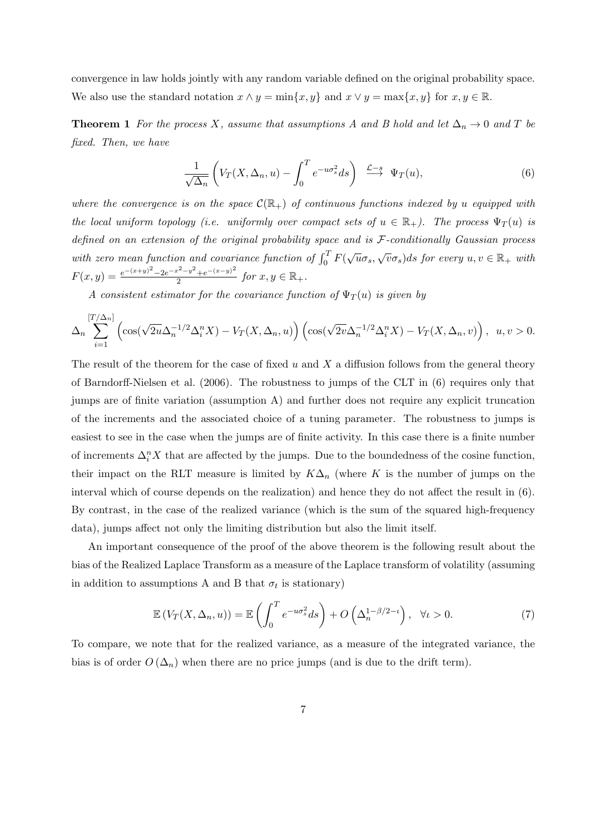convergence in law holds jointly with any random variable defined on the original probability space. We also use the standard notation  $x \wedge y = \min\{x, y\}$  and  $x \vee y = \max\{x, y\}$  for  $x, y \in \mathbb{R}$ .

**Theorem 1** *For the process X, assume that assumptions A and B hold and let*  $\Delta_n \to 0$  *and T be fixed. Then, we have*

$$
\frac{1}{\sqrt{\Delta_n}}\left(V_T(X,\Delta_n,u)-\int_0^T e^{-u\sigma_s^2}ds\right) \xrightarrow{\mathcal{L}-s} \Psi_T(u),\tag{6}
$$

*where the convergence is on the space*  $C(\mathbb{R}_+)$  *of continuous functions indexed by u equipped with the local uniform topology (i.e. uniformly over compact sets of*  $u \in \mathbb{R}_+$ ). The process  $\Psi_T(u)$  is *defined on an extension of the original probability space and is F-conditionally Gaussian process with zero mean function and covariance function of*  $\int_0^T F(\sqrt{u}\sigma_s, \sqrt{v}\sigma_s) ds$  *for every*  $u, v \in \mathbb{R}_+$  *with*  $F(x,y) = \frac{e^{-(x+y)^2} - 2e^{-x^2 - y^2} + e^{-(x-y)^2}}{2}$  $\frac{y-y}{2}+e^{-(x-y)}$  *for*  $x, y \in \mathbb{R}_+$ .

*A consistent estimator for the covariance function of*  $\Psi_T(u)$  *is given by* 

$$
\Delta_n \sum_{i=1}^{[T/\Delta_n]} \left( \cos(\sqrt{2u}\Delta_n^{-1/2}\Delta_i^n X) - V_T(X,\Delta_n,u) \right) \left( \cos(\sqrt{2v}\Delta_n^{-1/2}\Delta_i^n X) - V_T(X,\Delta_n,v) \right), u, v > 0.
$$

The result of the theorem for the case of fixed *u* and *X* a diffusion follows from the general theory of Barndorff-Nielsen et al. (2006). The robustness to jumps of the CLT in (6) requires only that jumps are of finite variation (assumption A) and further does not require any explicit truncation of the increments and the associated choice of a tuning parameter. The robustness to jumps is easiest to see in the case when the jumps are of finite activity. In this case there is a finite number of increments  $\Delta_i^n X$  that are affected by the jumps. Due to the boundedness of the cosine function, their impact on the RLT measure is limited by  $K\Delta_n$  (where *K* is the number of jumps on the interval which of course depends on the realization) and hence they do not affect the result in (6). By contrast, in the case of the realized variance (which is the sum of the squared high-frequency data), jumps affect not only the limiting distribution but also the limit itself.

An important consequence of the proof of the above theorem is the following result about the bias of the Realized Laplace Transform as a measure of the Laplace transform of volatility (assuming in addition to assumptions A and B that  $\sigma_t$  is stationary)

$$
\mathbb{E}\left(V_T(X,\Delta_n,u)\right) = \mathbb{E}\left(\int_0^T e^{-u\sigma_s^2}ds\right) + O\left(\Delta_n^{1-\beta/2-\iota}\right), \quad \forall \iota > 0. \tag{7}
$$

To compare, we note that for the realized variance, as a measure of the integrated variance, the bias is of order  $O(\Delta_n)$  when there are no price jumps (and is due to the drift term).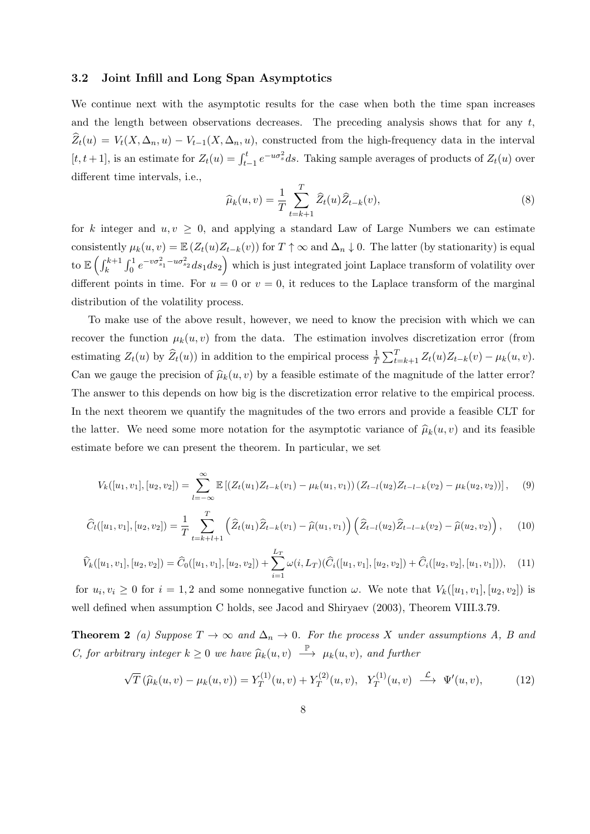### **3.2 Joint Infill and Long Span Asymptotics**

We continue next with the asymptotic results for the case when both the time span increases and the length between observations decreases. The preceding analysis shows that for any *t*,  $\hat{Z}_t(u) = V_t(X, \Delta_n, u) - V_{t-1}(X, \Delta_n, u)$ , constructed from the high-frequency data in the interval  $[t, t+1]$ , is an estimate for  $Z_t(u) = \int_{t-1}^t e^{-u\sigma_s^2} ds$ . Taking sample averages of products of  $Z_t(u)$  over different time intervals, i.e.,

$$
\widehat{\mu}_k(u,v) = \frac{1}{T} \sum_{t=k+1}^T \widehat{Z}_t(u) \widehat{Z}_{t-k}(v),\tag{8}
$$

for *k* integer and  $u, v \geq 0$ , and applying a standard Law of Large Numbers we can estimate consistently  $\mu_k(u, v) = \mathbb{E} \left( Z_t(u) Z_{t-k}(v) \right)$  for  $T \uparrow \infty$  and  $\Delta_n \downarrow 0$ . The latter (by stationarity) is equal  $\int \int_{0}^{k+1} \int_{0}^{1} e^{-v \sigma_{s_1}^{2} - u \sigma_{s_2}^{2}} ds_1 ds_2$  which is just integrated joint Laplace transform of volatility over different points in time. For  $u = 0$  or  $v = 0$ , it reduces to the Laplace transform of the marginal distribution of the volatility process.

To make use of the above result, however, we need to know the precision with which we can recover the function  $\mu_k(u, v)$  from the data. The estimation involves discretization error (from estimating  $Z_t(u)$  by  $\widehat{Z}_t(u)$  in addition to the empirical process  $\frac{1}{T} \sum_{t=k+1}^T Z_t(u) Z_{t-k}(v) - \mu_k(u, v)$ . Can we gauge the precision of  $\hat{\mu}_k(u, v)$  by a feasible estimate of the magnitude of the latter error? The answer to this depends on how big is the discretization error relative to the empirical process. In the next theorem we quantify the magnitudes of the two errors and provide a feasible CLT for the latter. We need some more notation for the asymptotic variance of  $\hat{\mu}_k(u, v)$  and its feasible estimate before we can present the theorem. In particular, we set

$$
V_k([u_1, v_1], [u_2, v_2]) = \sum_{l=-\infty}^{\infty} \mathbb{E}\left[ \left( Z_t(u_1) Z_{t-k}(v_1) - \mu_k(u_1, v_1) \right) \left( Z_{t-l}(u_2) Z_{t-l-k}(v_2) - \mu_k(u_2, v_2) \right) \right], \quad (9)
$$

$$
\widehat{C}_{l}([u_1, v_1], [u_2, v_2]) = \frac{1}{T} \sum_{t=k+l+1}^{T} \left( \widehat{Z}_{t}(u_1) \widehat{Z}_{t-k}(v_1) - \widehat{\mu}(u_1, v_1) \right) \left( \widehat{Z}_{t-l}(u_2) \widehat{Z}_{t-l-k}(v_2) - \widehat{\mu}(u_2, v_2) \right), \quad (10)
$$

$$
\widehat{V}_{k}([u_1, v_1], [u_2, v_2]) = \widehat{C}_0([u_1, v_1], [u_2, v_2]) + \sum_{i=1}^{L_T} \omega(i, L_T) (\widehat{C}_i([u_1, v_1], [u_2, v_2]) + \widehat{C}_i([u_2, v_2], [u_1, v_1])), \quad (11)
$$

for  $u_i, v_i \geq 0$  for  $i = 1, 2$  and some nonnegative function  $\omega$ . We note that  $V_k([u_1, v_1], [u_2, v_2])$  is well defined when assumption C holds, see Jacod and Shiryaev (2003), Theorem VIII.3.79.

**Theorem 2** *(a)* Suppose  $T \to \infty$  and  $\Delta_n \to 0$ . For the process X under assumptions A, B and *C, for arbitrary integer*  $k \geq 0$  *we have*  $\widehat{\mu}_k(u, v) \stackrel{\mathbb{P}}{\longrightarrow} \mu_k(u, v)$ *, and further* 

$$
\sqrt{T} \left( \widehat{\mu}_k(u, v) - \mu_k(u, v) \right) = Y_T^{(1)}(u, v) + Y_T^{(2)}(u, v), \quad Y_T^{(1)}(u, v) \stackrel{\mathcal{L}}{\longrightarrow} \Psi'(u, v), \tag{12}
$$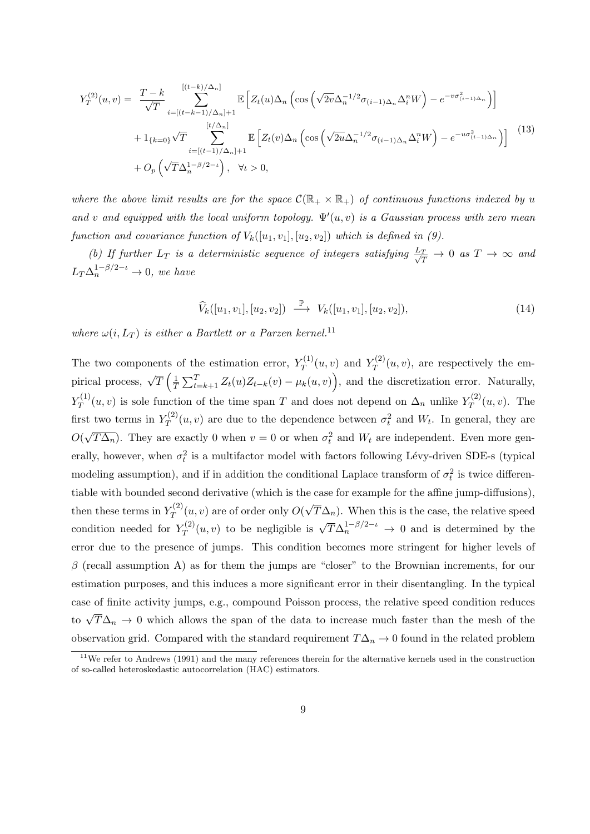$$
Y_T^{(2)}(u,v) = \frac{T-k}{\sqrt{T}} \sum_{i=\left[\left(t-k-1\right)/\Delta_n\right]+1}^{\left[\left(t-k\right)/\Delta_n\right]} \mathbb{E}\left[Z_t(u)\Delta_n\left(\cos\left(\sqrt{2v}\Delta_n^{-1/2}\sigma_{(i-1)\Delta_n}\Delta_i^nW\right) - e^{-v\sigma_{(i-1)\Delta_n}^2}\right)\right]
$$

$$
+ 1_{\left\{k=0\right\}}\sqrt{T} \sum_{i=\left[\left(t-1\right)/\Delta_n\right]+1}^{\left[t/\Delta_n\right]} \mathbb{E}\left[Z_t(v)\Delta_n\left(\cos\left(\sqrt{2u}\Delta_n^{-1/2}\sigma_{(i-1)\Delta_n}\Delta_i^nW\right) - e^{-u\sigma_{(i-1)\Delta_n}^2}\right)\right]
$$

$$
+ O_p\left(\sqrt{T}\Delta_n^{1-\beta/2-\iota}\right), \quad \forall \iota > 0,
$$
 (13)

*where the above limit results are for the space*  $C(\mathbb{R}_+ \times \mathbb{R}_+)$  *of continuous functions indexed by u and v and equipped with the local uniform topology.* Ψ*′* (*u, v*) *is a Gaussian process with zero mean function and covariance function of*  $V_k([u_1, v_1], [u_2, v_2])$  which is defined in (9).

*(b)* If further  $L_T$  is a deterministic sequence of integers satisfying  $\frac{L_T}{\sqrt{T}} \to 0$  as  $T \to \infty$  and  $L_T \Delta_n^{1-\beta/2-\iota} \to 0$ , we have

$$
\widehat{V}_k([u_1, v_1], [u_2, v_2]) \stackrel{\mathbb{P}}{\longrightarrow} V_k([u_1, v_1], [u_2, v_2]), \tag{14}
$$

*where*  $\omega(i, L_T)$  *is either a Bartlett or a Parzen kernel.*<sup>11</sup>

The two components of the estimation error,  $Y_T^{(1)}$  $Y_T^{(1)}(u, v)$  and  $Y_T^{(2)}$  $T^{(2)}(u, v)$ , are respectively the empirical process,  $\sqrt{T} \left( \frac{1}{T} \right)$  $\frac{1}{T} \sum_{t=k+1}^{T} Z_t(u) Z_{t-k}(v) - \mu_k(u, v)$ , and the discretization error. Naturally,  $Y_T^{(1)}$  $T_T^{(1)}(u, v)$  is sole function of the time span *T* and does not depend on  $\Delta_n$  unlike  $Y_T^{(2)}$  $T^{(2)}(u, v)$ . The first two terms in  $Y_T^{(2)}$  $T^{(2)}(u, v)$  are due to the dependence between  $\sigma_t^2$  and  $W_t$ . In general, they are *O*( *√*  $\overline{T\Delta_n}$ ). They are exactly 0 when  $v = 0$  or when  $\sigma_t^2$  and  $W_t$  are independent. Even more generally, however, when  $\sigma_t^2$  is a multifactor model with factors following Lévy-driven SDE-s (typical modeling assumption), and if in addition the conditional Laplace transform of  $\sigma_t^2$  is twice differentiable with bounded second derivative (which is the case for example for the affine jump-diffusions), then these terms in  $Y_T^{(2)}$  $T^{(2)}(u, v)$  are of order only  $O(v)$ *√*  $T\Delta_n$ ). When this is the case, the relative speed condition needed for  $Y_T^{(2)}$  $\frac{f^{(2)}(u,v)}{T}$  to be negligible is  $\sqrt{T}\Delta_n^{1-\beta/2-i} \to 0$  and is determined by the error due to the presence of jumps. This condition becomes more stringent for higher levels of *β* (recall assumption A) as for them the jumps are "closer" to the Brownian increments, for our estimation purposes, and this induces a more significant error in their disentangling. In the typical case of finite activity jumps, e.g., compound Poisson process, the relative speed condition reduces to  $\sqrt{T}\Delta_n \to 0$  which allows the span of the data to increase much faster than the mesh of the observation grid. Compared with the standard requirement  $T\Delta_n \to 0$  found in the related problem

<sup>&</sup>lt;sup>11</sup>We refer to Andrews (1991) and the many references therein for the alternative kernels used in the construction of so-called heteroskedastic autocorrelation (HAC) estimators.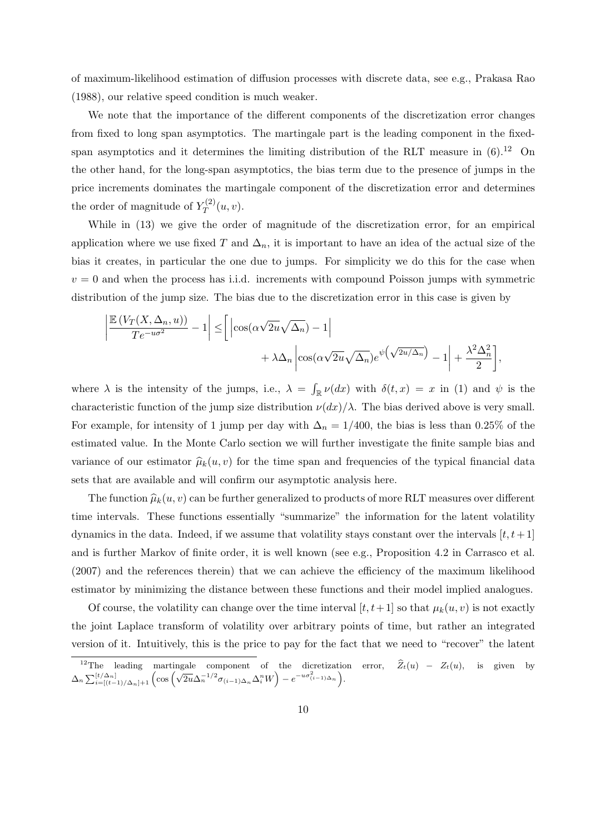of maximum-likelihood estimation of diffusion processes with discrete data, see e.g., Prakasa Rao (1988), our relative speed condition is much weaker.

We note that the importance of the different components of the discretization error changes from fixed to long span asymptotics. The martingale part is the leading component in the fixedspan asymptotics and it determines the limiting distribution of the RLT measure in  $(6)$ .<sup>12</sup> On the other hand, for the long-span asymptotics, the bias term due to the presence of jumps in the price increments dominates the martingale component of the discretization error and determines the order of magnitude of  $Y_T^{(2)}$  $T^{(2)}(u, v).$ 

While in (13) we give the order of magnitude of the discretization error, for an empirical application where we use fixed *T* and  $\Delta_n$ , it is important to have an idea of the actual size of the bias it creates, in particular the one due to jumps. For simplicity we do this for the case when  $v = 0$  and when the process has i.i.d. increments with compound Poisson jumps with symmetric distribution of the jump size. The bias due to the discretization error in this case is given by

$$
\left| \frac{\mathbb{E} \left( V_T(X, \Delta_n, u) \right)}{Te^{-u\sigma^2}} - 1 \right| \le \left[ \left| \cos(\alpha \sqrt{2u} \sqrt{\Delta_n}) - 1 \right| + \lambda \Delta_n \left| \cos(\alpha \sqrt{2u} \sqrt{\Delta_n}) e^{\psi \left( \sqrt{2u}/\Delta_n \right)} - 1 \right| + \frac{\lambda^2 \Delta_n^2}{2} \right],
$$

where  $\lambda$  is the intensity of the jumps, i.e.,  $\lambda = \int_{\mathbb{R}} \nu(dx)$  with  $\delta(t, x) = x$  in (1) and  $\psi$  is the characteristic function of the jump size distribution  $\nu(dx)/\lambda$ . The bias derived above is very small. For example, for intensity of 1 jump per day with  $\Delta_n = 1/400$ , the bias is less than 0.25% of the estimated value. In the Monte Carlo section we will further investigate the finite sample bias and variance of our estimator  $\hat{\mu}_k(u, v)$  for the time span and frequencies of the typical financial data sets that are available and will confirm our asymptotic analysis here.

The function  $\hat{\mu}_k(u, v)$  can be further generalized to products of more RLT measures over different time intervals. These functions essentially "summarize" the information for the latent volatility dynamics in the data. Indeed, if we assume that volatility stays constant over the intervals  $[t, t+1]$ and is further Markov of finite order, it is well known (see e.g., Proposition 4.2 in Carrasco et al. (2007) and the references therein) that we can achieve the efficiency of the maximum likelihood estimator by minimizing the distance between these functions and their model implied analogues.

Of course, the volatility can change over the time interval  $[t, t+1]$  so that  $\mu_k(u, v)$  is not exactly the joint Laplace transform of volatility over arbitrary points of time, but rather an integrated version of it. Intuitively, this is the price to pay for the fact that we need to "recover" the latent

<sup>&</sup>lt;sup>12</sup>The leading martingale component of the dicretization error,  $\hat{Z}_t(u) - Z_t(u)$ , is given by  $\Delta_n \sum_{i=[(t-1)/\Delta_n]+1}^{[t/\Delta_n]} \left(\cos\left(\sqrt{2u}\Delta_n^{-1/2}\sigma_{(i-1)\Delta_n}\Delta_i^nW\right)-e^{-u\sigma_{(i-1)\Delta_n}^2}\right).$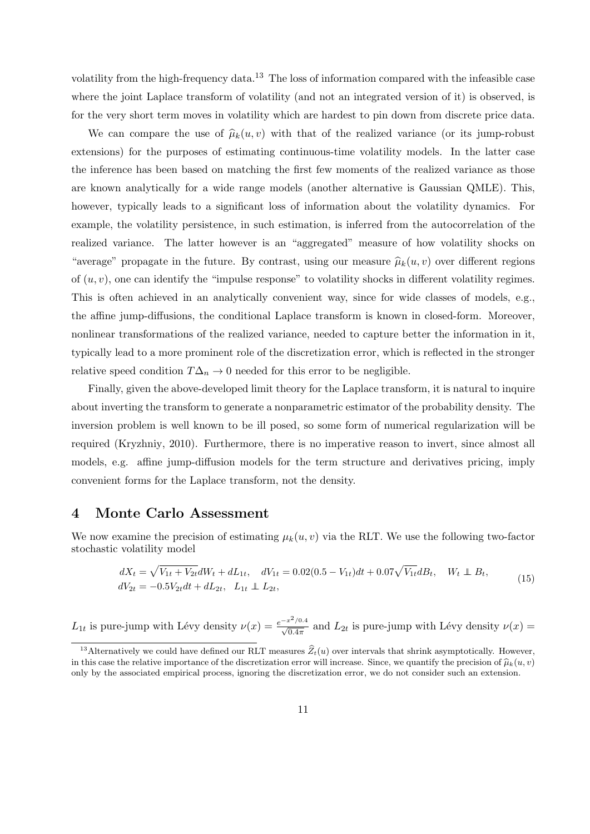volatility from the high-frequency data.<sup>13</sup> The loss of information compared with the infeasible case where the joint Laplace transform of volatility (and not an integrated version of it) is observed, is for the very short term moves in volatility which are hardest to pin down from discrete price data.

We can compare the use of  $\hat{\mu}_k(u, v)$  with that of the realized variance (or its jump-robust extensions) for the purposes of estimating continuous-time volatility models. In the latter case the inference has been based on matching the first few moments of the realized variance as those are known analytically for a wide range models (another alternative is Gaussian QMLE). This, however, typically leads to a significant loss of information about the volatility dynamics. For example, the volatility persistence, in such estimation, is inferred from the autocorrelation of the realized variance. The latter however is an "aggregated" measure of how volatility shocks on "average" propagate in the future. By contrast, using our measure  $\hat{\mu}_k(u, v)$  over different regions of  $(u, v)$ , one can identify the "impulse response" to volatility shocks in different volatility regimes. This is often achieved in an analytically convenient way, since for wide classes of models, e.g., the affine jump-diffusions, the conditional Laplace transform is known in closed-form. Moreover, nonlinear transformations of the realized variance, needed to capture better the information in it, typically lead to a more prominent role of the discretization error, which is reflected in the stronger relative speed condition  $T\Delta_n \to 0$  needed for this error to be negligible.

Finally, given the above-developed limit theory for the Laplace transform, it is natural to inquire about inverting the transform to generate a nonparametric estimator of the probability density. The inversion problem is well known to be ill posed, so some form of numerical regularization will be required (Kryzhniy, 2010). Furthermore, there is no imperative reason to invert, since almost all models, e.g. affine jump-diffusion models for the term structure and derivatives pricing, imply convenient forms for the Laplace transform, not the density.

# **4 Monte Carlo Assessment**

We now examine the precision of estimating  $\mu_k(u, v)$  via the RLT. We use the following two-factor stochastic volatility model

$$
dX_t = \sqrt{V_{1t} + V_{2t}}dW_t + dL_{1t}, \quad dV_{1t} = 0.02(0.5 - V_{1t})dt + 0.07\sqrt{V_{1t}}dB_t, \quad W_t \perp B_t, dV_{2t} = -0.5V_{2t}dt + dL_{2t}, \quad L_{1t} \perp L_{2t},
$$
\n(15)

*L*<sub>1*t*</sub> is pure-jump with Lévy density  $\nu(x) = \frac{e^{-x^2/0.4}}{\sqrt{0.4\pi}}$  and  $L_{2t}$  is pure-jump with Lévy density  $\nu(x) =$ 

<sup>&</sup>lt;sup>13</sup>Alternatively we could have defined our RLT measures  $\hat{Z}_t(u)$  over intervals that shrink asymptotically. However, in this case the relative importance of the discretization error will increase. Since, we quantify the precision of  $\hat{\mu}_k(u, v)$ only by the associated empirical process, ignoring the discretization error, we do not consider such an extension.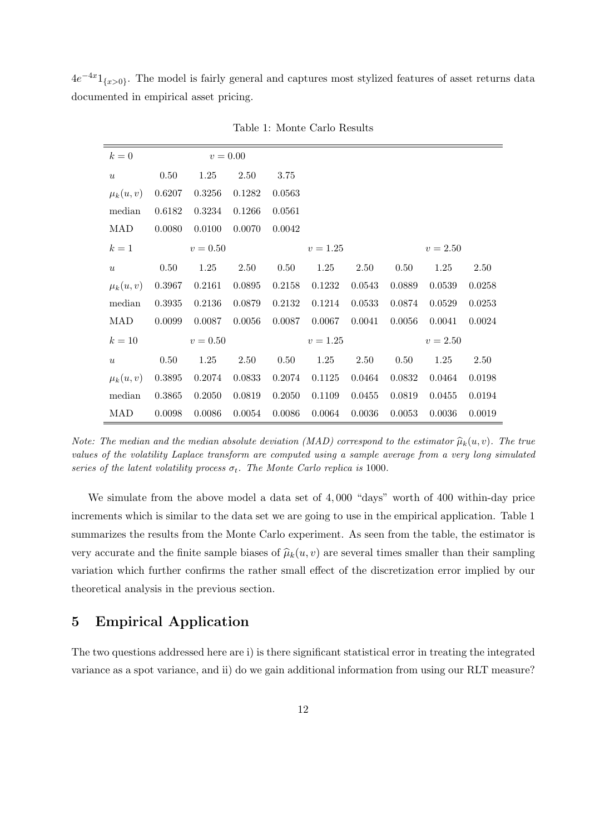4*e <sup>−</sup>*4*x*1*{x>*0*}* . The model is fairly general and captures most stylized features of asset returns data documented in empirical asset pricing.

| $k=0$            |            |        | $v = 0.00$ |            |        |        |            |        |        |
|------------------|------------|--------|------------|------------|--------|--------|------------|--------|--------|
| $\boldsymbol{u}$ | 0.50       | 1.25   | 2.50       | 3.75       |        |        |            |        |        |
| $\mu_k(u,v)$     | 0.6207     | 0.3256 | 0.1282     | 0.0563     |        |        |            |        |        |
| median           | 0.6182     | 0.3234 | 0.1266     | 0.0561     |        |        |            |        |        |
| MAD              | 0.0080     | 0.0100 | 0.0070     | 0.0042     |        |        |            |        |        |
| $k=1$            | $v = 0.50$ |        |            | $v = 1.25$ |        |        | $v = 2.50$ |        |        |
| $\boldsymbol{u}$ | 0.50       | 1.25   | 2.50       | 0.50       | 1.25   | 2.50   | 0.50       | 1.25   | 2.50   |
| $\mu_k(u,v)$     | 0.3967     | 0.2161 | 0.0895     | 0.2158     | 0.1232 | 0.0543 | 0.0889     | 0.0539 | 0.0258 |
| median           | 0.3935     | 0.2136 | 0.0879     | 0.2132     | 0.1214 | 0.0533 | 0.0874     | 0.0529 | 0.0253 |
| MAD              | 0.0099     | 0.0087 | 0.0056     | 0.0087     | 0.0067 | 0.0041 | 0.0056     | 0.0041 | 0.0024 |
| $k=10$           | $v = 0.50$ |        |            | $v = 1.25$ |        |        | $v = 2.50$ |        |        |
| $\boldsymbol{u}$ | 0.50       | 1.25   | 2.50       | 0.50       | 1.25   | 2.50   | 0.50       | 1.25   | 2.50   |
| $\mu_k(u,v)$     | 0.3895     | 0.2074 | 0.0833     | 0.2074     | 0.1125 | 0.0464 | 0.0832     | 0.0464 | 0.0198 |
| median           | 0.3865     | 0.2050 | 0.0819     | 0.2050     | 0.1109 | 0.0455 | 0.0819     | 0.0455 | 0.0194 |
| MAD              | 0.0098     | 0.0086 | 0.0054     | 0.0086     | 0.0064 | 0.0036 | 0.0053     | 0.0036 | 0.0019 |

Table 1: Monte Carlo Results

*Note: The median and the median absolute deviation (MAD) correspond to the estimator*  $\hat{\mu}_k(u, v)$ . The true *values of the volatility Laplace transform are computed using a sample average from a very long simulated series of the latent volatility process*  $\sigma_t$ *. The Monte Carlo replica is* 1000*.* 

We simulate from the above model a data set of 4*,* 000 "days" worth of 400 within-day price increments which is similar to the data set we are going to use in the empirical application. Table 1 summarizes the results from the Monte Carlo experiment. As seen from the table, the estimator is very accurate and the finite sample biases of  $\hat{\mu}_k(u, v)$  are several times smaller than their sampling variation which further confirms the rather small effect of the discretization error implied by our theoretical analysis in the previous section.

# **5 Empirical Application**

The two questions addressed here are i) is there significant statistical error in treating the integrated variance as a spot variance, and ii) do we gain additional information from using our RLT measure?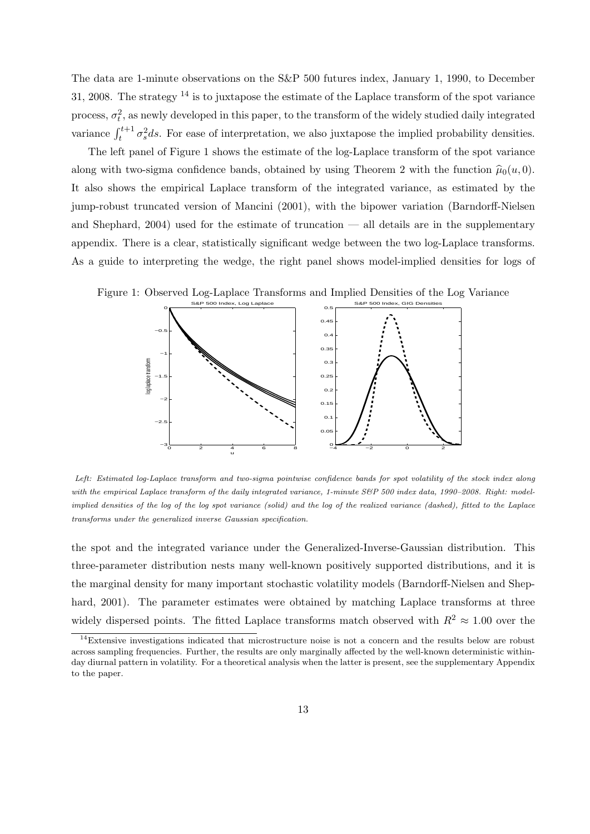The data are 1-minute observations on the S&P 500 futures index, January 1, 1990, to December 31, 2008. The strategy <sup>14</sup> is to juxtapose the estimate of the Laplace transform of the spot variance process,  $\sigma_t^2$ , as newly developed in this paper, to the transform of the widely studied daily integrated variance  $\int_{t}^{t+1} \sigma_s^2 ds$ . For ease of interpretation, we also juxtapose the implied probability densities.

The left panel of Figure 1 shows the estimate of the log-Laplace transform of the spot variance along with two-sigma confidence bands, obtained by using Theorem 2 with the function  $\hat{\mu}_0(u, 0)$ . It also shows the empirical Laplace transform of the integrated variance, as estimated by the jump-robust truncated version of Mancini (2001), with the bipower variation (Barndorff-Nielsen and Shephard, 2004) used for the estimate of truncation — all details are in the supplementary appendix. There is a clear, statistically significant wedge between the two log-Laplace transforms. As a guide to interpreting the wedge, the right panel shows model-implied densities for logs of



Figure 1: Observed Log-Laplace Transforms and Implied Densities of the Log Variance

*Left: Estimated log-Laplace transform and two-sigma pointwise confidence bands for spot volatility of the stock index along with the empirical Laplace transform of the daily integrated variance, 1-minute S&P 500 index data, 1990–2008. Right: modelimplied densities of the log of the log spot variance (solid) and the log of the realized variance (dashed), fitted to the Laplace transforms under the generalized inverse Gaussian specification.*

the spot and the integrated variance under the Generalized-Inverse-Gaussian distribution. This three-parameter distribution nests many well-known positively supported distributions, and it is the marginal density for many important stochastic volatility models (Barndorff-Nielsen and Shephard, 2001). The parameter estimates were obtained by matching Laplace transforms at three widely dispersed points. The fitted Laplace transforms match observed with  $R^2 \approx 1.00$  over the

 $14$ Extensive investigations indicated that microstructure noise is not a concern and the results below are robust across sampling frequencies. Further, the results are only marginally affected by the well-known deterministic withinday diurnal pattern in volatility. For a theoretical analysis when the latter is present, see the supplementary Appendix to the paper.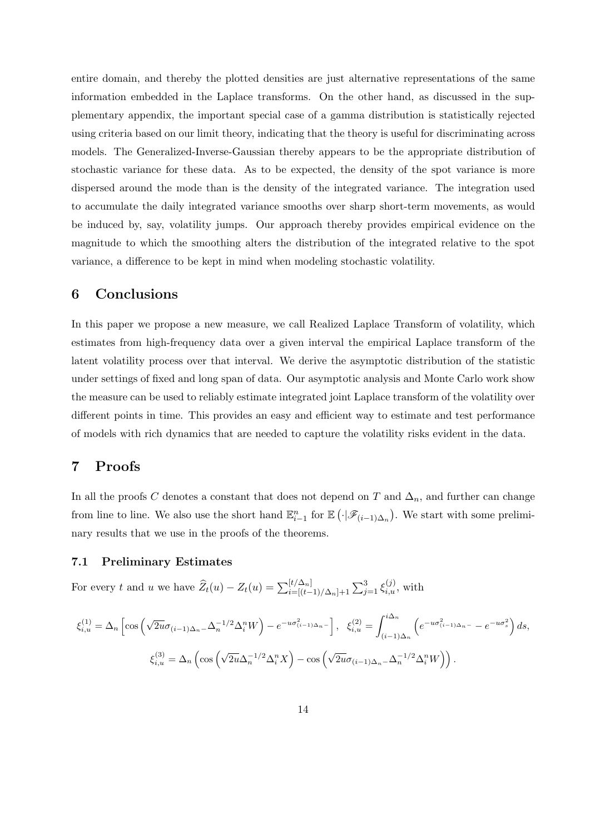entire domain, and thereby the plotted densities are just alternative representations of the same information embedded in the Laplace transforms. On the other hand, as discussed in the supplementary appendix, the important special case of a gamma distribution is statistically rejected using criteria based on our limit theory, indicating that the theory is useful for discriminating across models. The Generalized-Inverse-Gaussian thereby appears to be the appropriate distribution of stochastic variance for these data. As to be expected, the density of the spot variance is more dispersed around the mode than is the density of the integrated variance. The integration used to accumulate the daily integrated variance smooths over sharp short-term movements, as would be induced by, say, volatility jumps. Our approach thereby provides empirical evidence on the magnitude to which the smoothing alters the distribution of the integrated relative to the spot variance, a difference to be kept in mind when modeling stochastic volatility.

# **6 Conclusions**

In this paper we propose a new measure, we call Realized Laplace Transform of volatility, which estimates from high-frequency data over a given interval the empirical Laplace transform of the latent volatility process over that interval. We derive the asymptotic distribution of the statistic under settings of fixed and long span of data. Our asymptotic analysis and Monte Carlo work show the measure can be used to reliably estimate integrated joint Laplace transform of the volatility over different points in time. This provides an easy and efficient way to estimate and test performance of models with rich dynamics that are needed to capture the volatility risks evident in the data.

# **7 Proofs**

In all the proofs *C* denotes a constant that does not depend on *T* and  $\Delta_n$ , and further can change from line to line. We also use the short hand  $\mathbb{E}_{i-1}^n$  for  $\mathbb{E}(\cdot|\mathscr{F}_{(i-1)\Delta_n})$ . We start with some preliminary results that we use in the proofs of the theorems.

### **7.1 Preliminary Estimates**

For every t and u we have  $\hat{Z}_t(u) - Z_t(u) = \sum_{i=[(t-1)/\Delta_n]+1}^{[t/\Delta_n]} \sum_{j=1}^3 \xi_{i,u}^{(j)}$ , with

$$
\xi_{i,u}^{(1)} = \Delta_n \left[ \cos \left( \sqrt{2u} \sigma_{(i-1)\Delta_n} - \Delta_n^{-1/2} \Delta_i^n W \right) - e^{-u \sigma_{(i-1)\Delta_n}^2} \right], \quad \xi_{i,u}^{(2)} = \int_{(i-1)\Delta_n}^{i\Delta_n} \left( e^{-u \sigma_{(i-1)\Delta_n}^2} - e^{-u \sigma_s^2} \right) ds,
$$

$$
\xi_{i,u}^{(3)} = \Delta_n \left( \cos \left( \sqrt{2u} \Delta_n^{-1/2} \Delta_i^n X \right) - \cos \left( \sqrt{2u} \sigma_{(i-1)\Delta_n} - \Delta_n^{-1/2} \Delta_i^n W \right) \right).
$$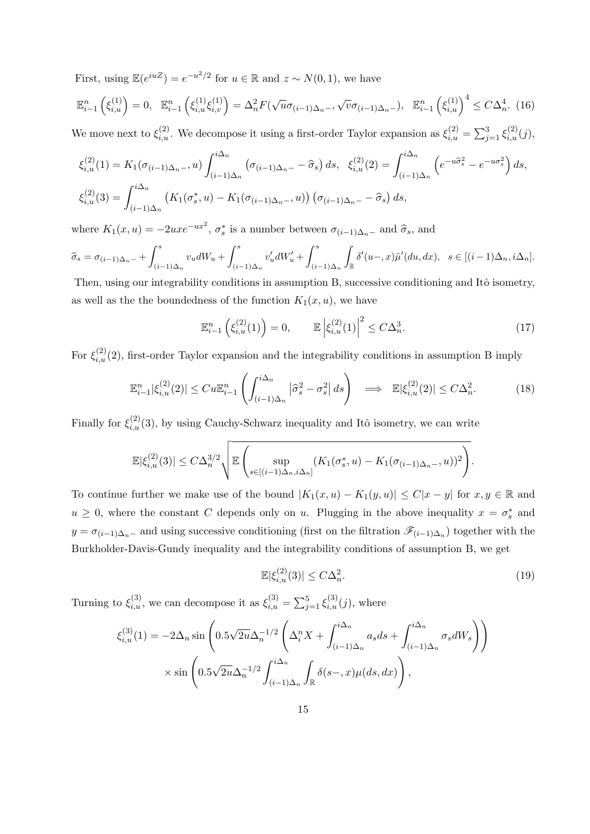First, using  $\mathbb{E}(e^{iuZ}) = e^{-u^2/2}$  for  $u \in \mathbb{R}$  and  $z \sim N(0, 1)$ , we have

$$
\mathbb{E}_{i-1}^{n}\left(\xi_{i,u}^{(1)}\right) = 0, \quad \mathbb{E}_{i-1}^{n}\left(\xi_{i,u}^{(1)}\xi_{i,v}^{(1)}\right) = \Delta_{n}^{2}F(\sqrt{u}\sigma_{(i-1)\Delta_{n}-}, \sqrt{v}\sigma_{(i-1)\Delta_{n}-}), \quad \mathbb{E}_{i-1}^{n}\left(\xi_{i,u}^{(1)}\right)^{4} \le C\Delta_{n}^{4}.\tag{16}
$$

We move next to  $\xi_{i,u}^{(2)}$ . We decompose it using a first-order Taylor expansion as  $\xi_{i,u}^{(2)} = \sum_{j=1}^3 \xi_{i,u}^{(2)}(j)$ ,

$$
\xi_{i,u}^{(2)}(1) = K_1(\sigma_{(i-1)\Delta_n -}, u) \int_{(i-1)\Delta_n}^{i\Delta_n} (\sigma_{(i-1)\Delta_n -} - \hat{\sigma}_s) ds, \quad \xi_{i,u}^{(2)}(2) = \int_{(i-1)\Delta_n}^{i\Delta_n} \left( e^{-u\hat{\sigma}_s^2} - e^{-u\sigma_s^2} \right) ds,
$$
  

$$
\xi_{i,u}^{(2)}(3) = \int_{(i-1)\Delta_n}^{i\Delta_n} \left( K_1(\sigma_s^*, u) - K_1(\sigma_{(i-1)\Delta_n -}, u) \right) \left( \sigma_{(i-1)\Delta_n -} - \hat{\sigma}_s \right) ds,
$$

where  $K_1(x, u) = -2uxe^{-ux^2}$ ,  $\sigma_s^*$  is a number between  $\sigma_{(i-1)\Delta_n}$  and  $\hat{\sigma}_s$ , and

$$
\widehat{\sigma}_s = \sigma_{(i-1)\Delta_n} + \int_{(i-1)\Delta_n}^s v_u dW_u + \int_{(i-1)\Delta_n}^s v_u' dW_u' + \int_{(i-1)\Delta_n}^s \int_{\mathbb{R}} \delta'(u-,x) \tilde{\mu}'(du,dx), \quad s \in [(i-1)\Delta_n, i\Delta_n].
$$
  
Then, using any integral *i*th term is the equilibrium in a symmetric. By representing any division and Itô isomorphism.

Then, using our integrability conditions in assumption B, successive conditioning and Itô isometry, as well as the the boundedness of the function  $K_1(x, u)$ , we have

$$
\mathbb{E}_{i-1}^n \left( \xi_{i,u}^{(2)}(1) \right) = 0, \qquad \mathbb{E} \left| \xi_{i,u}^{(2)}(1) \right|^2 \le C \Delta_n^3. \tag{17}
$$

For  $\xi_{i,u}^{(2)}(2)$ , first-order Taylor expansion and the integrability conditions in assumption B imply

$$
\mathbb{E}_{i-1}^{n}|\xi_{i,u}^{(2)}(2)| \leq Cu \mathbb{E}_{i-1}^{n} \left( \int_{(i-1)\Delta_{n}}^{i\Delta_{n}} |\widehat{\sigma}_{s}^{2} - \sigma_{s}^{2}| ds \right) \implies \mathbb{E}|\xi_{i,u}^{(2)}(2)| \leq C\Delta_{n}^{2}.
$$
 (18)

Finally for  $\xi_{i,u}^{(2)}(3)$ , by using Cauchy-Schwarz inequality and Itô isometry, we can write

$$
\mathbb{E}|\xi_{i,u}^{(2)}(3)| \leq C\Delta_n^{3/2}\sqrt{\mathbb{E}\left(\sup_{s\in[(i-1)\Delta_n,i\Delta_n]}(K_1(\sigma_s^*,u)-K_1(\sigma_{(i-1)\Delta_n-},u))^2\right)}.
$$

To continue further we make use of the bound  $|K_1(x, u) - K_1(y, u)| \leq C|x - y|$  for  $x, y \in \mathbb{R}$  and  $u \geq 0$ , where the constant *C* depends only on *u*. Plugging in the above inequality  $x = \sigma_s^*$  and  $y = \sigma_{(i-1)\Delta_n}$  and using successive conditioning (first on the filtration  $\mathscr{F}_{(i-1)\Delta_n}$ ) together with the Burkholder-Davis-Gundy inequality and the integrability conditions of assumption B, we get

$$
\mathbb{E}|\xi_{i,u}^{(2)}(3)| \le C\Delta_n^2. \tag{19}
$$

Turning to  $\xi_{i,u}^{(3)}$ , we can decompose it as  $\xi_{i,u}^{(3)} = \sum_{j=1}^{5} \xi_{i,u}^{(3)}(j)$ , where

$$
\xi_{i,u}^{(3)}(1) = -2\Delta_n \sin\left(0.5\sqrt{2u}\Delta_n^{-1/2}\left(\Delta_i^n X + \int_{(i-1)\Delta_n}^{i\Delta_n} a_s ds + \int_{(i-1)\Delta_n}^{i\Delta_n} \sigma_s dW_s\right)\right)
$$

$$
\times \sin\left(0.5\sqrt{2u}\Delta_n^{-1/2}\int_{(i-1)\Delta_n}^{i\Delta_n} \int_{\mathbb{R}} \delta(s-,x)\mu(ds,dx)\right),
$$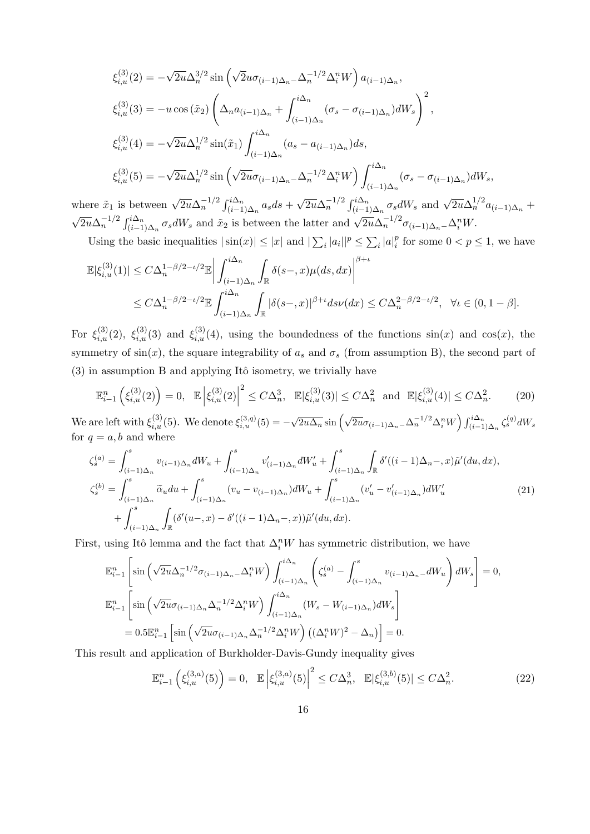$$
\xi_{i,u}^{(3)}(2) = -\sqrt{2u}\Delta_n^{3/2} \sin\left(\sqrt{2}u\sigma_{(i-1)\Delta_n} - \Delta_n^{-1/2}\Delta_i^n W\right) a_{(i-1)\Delta_n},
$$
  
\n
$$
\xi_{i,u}^{(3)}(3) = -u\cos\left(\tilde{x}_2\right) \left(\Delta_n a_{(i-1)\Delta_n} + \int_{(i-1)\Delta_n}^{i\Delta_n} (\sigma_s - \sigma_{(i-1)\Delta_n}) dW_s\right)^2,
$$
  
\n
$$
\xi_{i,u}^{(3)}(4) = -\sqrt{2u}\Delta_n^{1/2} \sin\left(\tilde{x}_1\right) \int_{(i-1)\Delta_n}^{i\Delta_n} (a_s - a_{(i-1)\Delta_n}) ds,
$$
  
\n
$$
\xi_{i,u}^{(3)}(5) = -\sqrt{2u}\Delta_n^{1/2} \sin\left(\sqrt{2u}\sigma_{(i-1)\Delta_n} - \Delta_n^{-1/2}\Delta_i^n W\right) \int_{(i-1)\Delta_n}^{i\Delta_n} (\sigma_s - \sigma_{(i-1)\Delta_n}) dW_s,
$$

where  $\tilde{x}_1$  is between  $\sqrt{2u} \Delta_n^{-1/2} \int_{(i-1)\Delta_n}^{i\Delta_n} a_s ds$  + where  $\tilde{x}_1$  is between  $\sqrt{2u} \Delta_n^{-1/2} \int_{(i-1)\Delta_n}^{i\Delta_n} a_s ds + \sqrt{2u} \Delta_n^{-1/2} \int_{(i-1)\Delta_n}^{i\Delta_n} \sigma_s dW_s$  and  $\sqrt{2u} \Delta_n^{1/2} a_{(i-1)\Delta_n} +$  $\overline{2u}\Delta_n^{-1/2}\int_{(i-1)\Delta_n}^{i\Delta_n} \sigma_s dW_s$  and  $\tilde{x}_2$  is between the latter and  $\sqrt{2u}\Delta_n^{-1/2}\sigma_{(i-1)\Delta_n} - \Delta_i^n W$ .

Using the basic inequalities  $|\sin(x)| \leq |x|$  and  $|\sum_i |a_i||^p \leq \sum_i |a|_i^p$  $\frac{p}{i}$  for some  $0 < p \leq 1$ , we have

$$
\mathbb{E}|\xi_{i,u}^{(3)}(1)| \leq C\Delta_n^{1-\beta/2 - \iota/2} \mathbb{E} \left| \int_{(i-1)\Delta_n}^{i\Delta_n} \int_{\mathbb{R}} \delta(s-,x) \mu(ds, dx) \right|^{\beta+\iota} \leq C\Delta_n^{1-\beta/2 - \iota/2} \mathbb{E} \int_{(i-1)\Delta_n}^{i\Delta_n} \int_{\mathbb{R}} |\delta(s-,x)|^{\beta+\iota} ds \nu(dx) \leq C\Delta_n^{2-\beta/2 - \iota/2}, \quad \forall \iota \in (0, 1-\beta].
$$

For  $\xi_{i,u}^{(3)}(2)$ ,  $\xi_{i,u}^{(3)}(3)$  and  $\xi_{i,u}^{(3)}(4)$ , using the boundedness of the functions  $sin(x)$  and  $cos(x)$ , the symmetry of  $sin(x)$ , the square integrability of  $a_s$  and  $\sigma_s$  (from assumption B), the second part of  $(3)$  in assumption B and applying Itô isometry, we trivially have

$$
\mathbb{E}_{i-1}^{n}\left(\xi_{i,u}^{(3)}(2)\right) = 0, \quad \mathbb{E}\left|\xi_{i,u}^{(3)}(2)\right|^{2} \le C\Delta_{n}^{3}, \quad \mathbb{E}|\xi_{i,u}^{(3)}(3)| \le C\Delta_{n}^{2} \quad \text{and} \quad \mathbb{E}|\xi_{i,u}^{(3)}(4)| \le C\Delta_{n}^{2}.\tag{20}
$$

We are left with  $\xi_{i,u}^{(3)}(5)$ . We denote  $\xi_{i,u}^{(3,q)}(5) = -\sqrt{2u\Delta_n} \sin\left(\sqrt{2u}\sigma_{(i-1)\Delta_n} - \Delta_n^{-1/2}\Delta_i^n W\right) \int_{(i-1)\Delta_n}^{i\Delta_n} \zeta_s^{(q)} dW_s$ for  $q = a, b$  and where

$$
\zeta_{s}^{(a)} = \int_{(i-1)\Delta_{n}}^{s} v_{(i-1)\Delta_{n}} dW_{u} + \int_{(i-1)\Delta_{n}}^{s} v'_{(i-1)\Delta_{n}} dW_{u}' + \int_{(i-1)\Delta_{n}}^{s} \int_{\mathbb{R}} \delta'((i-1)\Delta_{n}, x) \tilde{\mu}'(du, dx),
$$
  

$$
\zeta_{s}^{(b)} = \int_{(i-1)\Delta_{n}}^{s} \tilde{\alpha}_{u} du + \int_{(i-1)\Delta_{n}}^{s} (v_{u} - v_{(i-1)\Delta_{n}}) dW_{u} + \int_{(i-1)\Delta_{n}}^{s} (v'_{u} - v'_{(i-1)\Delta_{n}}) dW'_{u}' + \int_{(i-1)\Delta_{n}}^{s} \delta'((i-1)\Delta_{n}, x) dW'_{u}
$$
 (21)  
+
$$
\int_{(i-1)\Delta_{n}}^{s} \int_{\mathbb{R}} (\delta'(u-, x) - \delta'((i-1)\Delta_{n}, x)) \tilde{\mu}'(du, dx).
$$

First, using Itô lemma and the fact that  $\Delta_i^n W$  has symmetric distribution, we have

$$
\mathbb{E}_{i-1}^{n} \left[ \sin \left( \sqrt{2u} \Delta_n^{-1/2} \sigma_{(i-1)\Delta_n -} \Delta_i^n W \right) \int_{(i-1)\Delta_n}^{i\Delta_n} \left( \zeta_s^{(a)} - \int_{(i-1)\Delta_n}^s v_{(i-1)\Delta_n -} dW_u \right) dW_s \right] = 0,
$$
  

$$
\mathbb{E}_{i-1}^{n} \left[ \sin \left( \sqrt{2u} \sigma_{(i-1)\Delta_n} \Delta_n^{-1/2} \Delta_i^n W \right) \int_{(i-1)\Delta_n}^{i\Delta_n} (W_s - W_{(i-1)\Delta_n}) dW_s \right]
$$
  

$$
= 0.5 \mathbb{E}_{i-1}^{n} \left[ \sin \left( \sqrt{2u} \sigma_{(i-1)\Delta_n} \Delta_n^{-1/2} \Delta_i^n W \right) \left( (\Delta_i^n W)^2 - \Delta_n \right) \right] = 0.
$$

This result and application of Burkholder-Davis-Gundy inequality gives

$$
\mathbb{E}_{i-1}^{n}\left(\xi_{i,u}^{(3,a)}(5)\right) = 0, \quad \mathbb{E}\left|\xi_{i,u}^{(3,a)}(5)\right|^{2} \le C\Delta_{n}^{3}, \quad \mathbb{E}|\xi_{i,u}^{(3,b)}(5)| \le C\Delta_{n}^{2}.
$$
\n(22)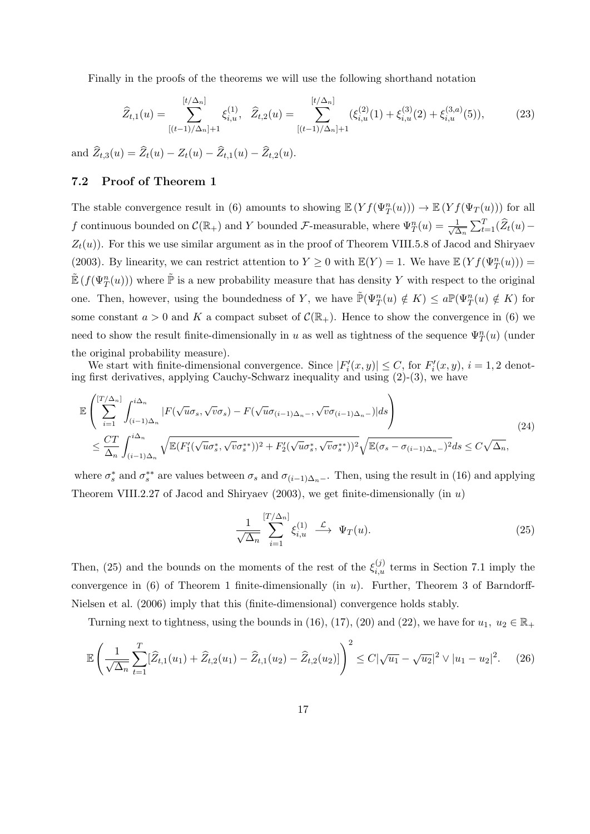Finally in the proofs of the theorems we will use the following shorthand notation

$$
\widehat{Z}_{t,1}(u) = \sum_{[(t-1)/\Delta_n]+1}^{[t/\Delta_n]} \xi_{i,u}^{(1)}, \quad \widehat{Z}_{t,2}(u) = \sum_{[(t-1)/\Delta_n]+1}^{[t/\Delta_n]} (\xi_{i,u}^{(2)}(1) + \xi_{i,u}^{(3)}(2) + \xi_{i,u}^{(3,a)}(5)),
$$
(23)

and  $\hat{Z}_{t,3}(u) = \hat{Z}_t(u) - Z_t(u) - \hat{Z}_{t,1}(u) - \hat{Z}_{t,2}(u).$ 

### **7.2 Proof of Theorem 1**

The stable convergence result in (6) amounts to showing  $\mathbb{E}(Yf(\Psi_T^n(u))) \to \mathbb{E}(Yf(\Psi_T(u)))$  for all *f* continuous bounded on  $\mathcal{C}(\mathbb{R}_+)$  and *Y* bounded *F*-measurable, where  $\Psi_T^n(u) = \frac{1}{\sqrt{2}}$  $\frac{1}{\Delta_n} \sum_{t=1}^T (\hat{Z}_t(u) Z_t(u)$ ). For this we use similar argument as in the proof of Theorem VIII.5.8 of Jacod and Shiryaev (2003). By linearity, we can restrict attention to  $Y \ge 0$  with  $\mathbb{E}(Y) = 1$ . We have  $\mathbb{E}(Y f(\Psi_T^n(u))) =$  $\mathbb{E}(f(\Psi_T^n(u)))$  where  $\tilde{\mathbb{P}}$  is a new probability measure that has density *Y* with respect to the original one. Then, however, using the boundedness of *Y*, we have  $\tilde{\mathbb{P}}(\Psi_T^n(u) \notin K) \le a \mathbb{P}(\Psi_T^n(u) \notin K)$  for some constant  $a > 0$  and K a compact subset of  $C(\mathbb{R}_+)$ . Hence to show the convergence in (6) we need to show the result finite-dimensionally in *u* as well as tightness of the sequence  $\Psi_T^n(u)$  (under the original probability measure).

We start with finite-dimensional convergence. Since  $|F'_i(x,y)| \leq C$ , for  $F'_i(x,y)$ ,  $i = 1, 2$  denoting first derivatives, applying Cauchy-Schwarz inequality and using  $(2)-(3)$ , we have

$$
\mathbb{E}\left(\sum_{i=1}^{[T/\Delta_n]} \int_{(i-1)\Delta_n}^{i\Delta_n} |F(\sqrt{u}\sigma_s, \sqrt{v}\sigma_s) - F(\sqrt{u}\sigma_{(i-1)\Delta_n -}, \sqrt{v}\sigma_{(i-1)\Delta_n -})|ds\right) \leq \frac{CT}{\Delta_n} \int_{(i-1)\Delta_n}^{i\Delta_n} \sqrt{\mathbb{E}(F'_1(\sqrt{u}\sigma_s^*, \sqrt{v}\sigma_s^{**}))^2 + F'_2(\sqrt{u}\sigma_s^*, \sqrt{v}\sigma_s^{**}))^2} \sqrt{\mathbb{E}(\sigma_s - \sigma_{(i-1)\Delta_n -})^2}ds \leq C\sqrt{\Delta_n},
$$
\n(24)

where  $\sigma_s^*$  and  $\sigma_s^{**}$  are values between  $\sigma_s$  and  $\sigma_{(i-1)\Delta_n}$ -. Then, using the result in (16) and applying Theorem VIII.2.27 of Jacod and Shiryaev (2003), we get finite-dimensionally (in *u*)

$$
\frac{1}{\sqrt{\Delta_n}} \sum_{i=1}^{[T/\Delta_n]} \xi_{i,u}^{(1)} \stackrel{\mathcal{L}}{\longrightarrow} \Psi_T(u). \tag{25}
$$

Then, (25) and the bounds on the moments of the rest of the  $\xi_{i,u}^{(j)}$  terms in Section 7.1 imply the convergence in (6) of Theorem 1 finite-dimensionally (in *u*). Further, Theorem 3 of Barndorff-Nielsen et al. (2006) imply that this (finite-dimensional) convergence holds stably.

Turning next to tightness, using the bounds in (16), (17), (20) and (22), we have for  $u_1, u_2 \in \mathbb{R}_+$ 

$$
\mathbb{E}\left(\frac{1}{\sqrt{\Delta_n}}\sum_{t=1}^T[\widehat{Z}_{t,1}(u_1)+\widehat{Z}_{t,2}(u_1)-\widehat{Z}_{t,1}(u_2)-\widehat{Z}_{t,2}(u_2)]\right)^2 \leq C|\sqrt{u_1}-\sqrt{u_2}|^2 \vee |u_1-u_2|^2. \tag{26}
$$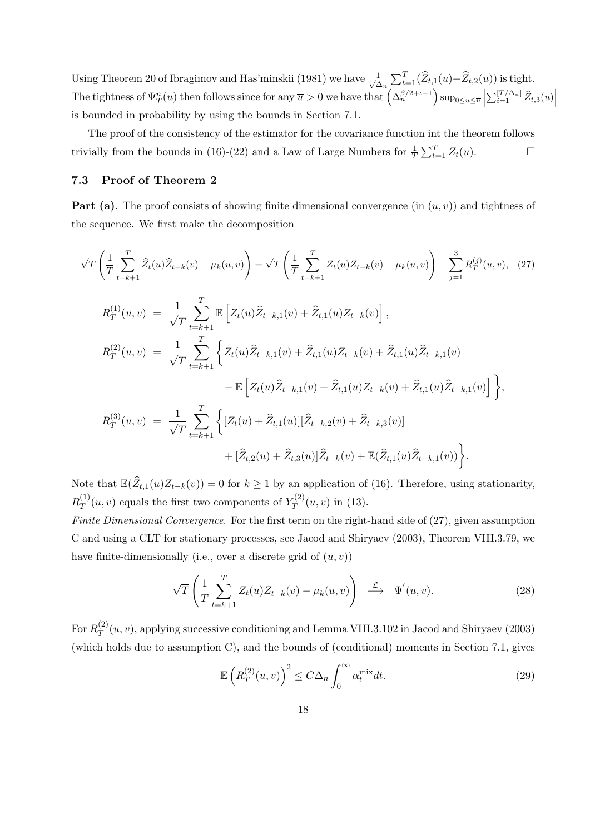Using Theorem 20 of Ibragimov and Has'minskii (1981) we have *√* 1  $\frac{1}{\Delta_n} \sum_{t=1}^T (\widehat{Z}_{t,1}(u) + \widehat{Z}_{t,2}(u))$  is tight. The tightness of  $\Psi_T^n(u)$  then follows since for any  $\overline{u} > 0$  we have that  $(\Delta_n^{\beta/2+i-1})$  sup<sub>0≤u≤u</sub>  $\left| \sum_{i=1}^{\lfloor T/\Delta_n \rfloor} \widehat{Z}_{t,3}(u) \right|$ is bounded in probability by using the bounds in Section 7.1.

The proof of the consistency of the estimator for the covariance function int the theorem follows trivially from the bounds in (16)-(22) and a Law of Large Numbers for  $\frac{1}{T} \sum_{t=1}^{T} Z_t(u)$ .

### **7.3 Proof of Theorem 2**

**Part (a)**. The proof consists of showing finite dimensional convergence (in  $(u, v)$ ) and tightness of the sequence. We first make the decomposition

$$
\sqrt{T}\left(\frac{1}{T}\sum_{t=k+1}^{T}\hat{Z}_{t}(u)\hat{Z}_{t-k}(v)-\mu_{k}(u,v)\right) = \sqrt{T}\left(\frac{1}{T}\sum_{t=k+1}^{T}Z_{t}(u)Z_{t-k}(v)-\mu_{k}(u,v)\right) + \sum_{j=1}^{3}R_{T}^{(j)}(u,v), (27)
$$
\n
$$
R_{T}^{(1)}(u,v) = \frac{1}{\sqrt{T}}\sum_{t=k+1}^{T}\mathbb{E}\left[Z_{t}(u)\hat{Z}_{t-k,1}(v)+\hat{Z}_{t,1}(u)Z_{t-k}(v)\right],
$$
\n
$$
R_{T}^{(2)}(u,v) = \frac{1}{\sqrt{T}}\sum_{t=k+1}^{T}\left\{Z_{t}(u)\hat{Z}_{t-k,1}(v)+\hat{Z}_{t,1}(u)Z_{t-k}(v)+\hat{Z}_{t,1}(u)\hat{Z}_{t-k,1}(v)\right.
$$
\n
$$
-\mathbb{E}\left[Z_{t}(u)\hat{Z}_{t-k,1}(v)+\hat{Z}_{t,1}(u)Z_{t-k}(v)+\hat{Z}_{t,1}(u)\hat{Z}_{t-k,1}(v)\right]\right\},
$$
\n
$$
R_{T}^{(3)}(u,v) = \frac{1}{\sqrt{T}}\sum_{t=k+1}^{T}\left\{\left[Z_{t}(u)+\hat{Z}_{t,1}(u)\right]\left[\hat{Z}_{t-k,2}(v)+\hat{Z}_{t-k,3}(v)\right]\right.
$$
\n
$$
+\left[\hat{Z}_{t,2}(u)+\hat{Z}_{t,3}(u)\right]\hat{Z}_{t-k}(v)+\mathbb{E}(\hat{Z}_{t,1}(u)\hat{Z}_{t-k,1}(v))\right\}.
$$

Note that  $\mathbb{E}(\widehat{Z}_{t,1}(u)Z_{t-k}(v)) = 0$  for  $k \geq 1$  by an application of (16). Therefore, using stationarity,  $R_T^{(1)}$  $T_T^{(1)}(u, v)$  equals the first two components of  $Y_T^{(2)}$  $T^{(2)}(u, v)$  in (13).

*Finite Dimensional Convergence*. For the first term on the right-hand side of (27), given assumption C and using a CLT for stationary processes, see Jacod and Shiryaev (2003), Theorem VIII.3.79, we have finite-dimensionally (i.e., over a discrete grid of  $(u, v)$ )

$$
\sqrt{T}\left(\frac{1}{T}\sum_{t=k+1}^{T}Z_t(u)Z_{t-k}(v)-\mu_k(u,v)\right) \stackrel{\mathcal{L}}{\longrightarrow} \Psi'(u,v). \tag{28}
$$

For  $R_T^{(2)}$  $T^{(2)}(u, v)$ , applying successive conditioning and Lemma VIII.3.102 in Jacod and Shiryaev (2003) (which holds due to assumption C), and the bounds of (conditional) moments in Section 7.1, gives

$$
\mathbb{E}\left(R_T^{(2)}(u,v)\right)^2 \le C\Delta_n \int_0^\infty \alpha_t^{\text{mix}} dt. \tag{29}
$$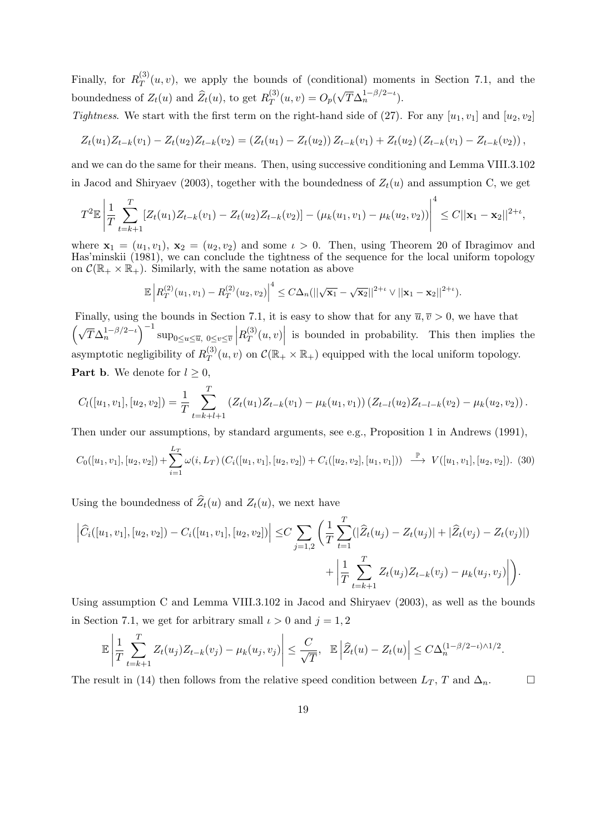Finally, for  $R_T^{(3)}$  $T^{(5)}(u, v)$ , we apply the bounds of (conditional) moments in Section 7.1, and the boundedness of  $Z_t(u)$  and  $\widehat{Z}_t(u)$ , to get  $R_T^{(3)}$  $O_T^{(3)}(u, v) = O_p(u)$ *√*  $\overline{T}\Delta _{n}^{1-\beta /2-\iota }).$ 

*Tightness.* We start with the first term on the right-hand side of (27). For any  $[u_1, v_1]$  and  $[u_2, v_2]$ 

$$
Z_t(u_1)Z_{t-k}(v_1) - Z_t(u_2)Z_{t-k}(v_2) = \left(Z_t(u_1) - Z_t(u_2)\right)Z_{t-k}(v_1) + Z_t(u_2)\left(Z_{t-k}(v_1) - Z_{t-k}(v_2)\right),
$$

and we can do the same for their means. Then, using successive conditioning and Lemma VIII.3.102 in Jacod and Shiryaev (2003), together with the boundedness of  $Z_t(u)$  and assumption C, we get

$$
T^{2}\mathbb{E}\left|\frac{1}{T}\sum_{t=k+1}^{T}[Z_{t}(u_{1})Z_{t-k}(v_{1})-Z_{t}(u_{2})Z_{t-k}(v_{2})] - (\mu_{k}(u_{1},v_{1})-\mu_{k}(u_{2},v_{2}))\right|^{4} \leq C||\mathbf{x}_{1}-\mathbf{x}_{2}||^{2+\iota},
$$

where  $\mathbf{x}_1 = (u_1, v_1), \mathbf{x}_2 = (u_2, v_2)$  and some  $\iota > 0$ . Then, using Theorem 20 of Ibragimov and Has'minskii (1981), we can conclude the tightness of the sequence for the local uniform topology on  $\mathcal{C}(\mathbb{R}_+ \times \mathbb{R}_+)$ . Similarly, with the same notation as above

$$
\mathbb{E}\left|R_T^{(2)}(u_1,v_1)-R_T^{(2)}(u_2,v_2)\right|^4 \leq C\Delta_n(||\sqrt{\mathbf{x}_1}-\sqrt{\mathbf{x}_2}||^{2+\iota}\vee||\mathbf{x}_1-\mathbf{x}_2||^{2+\iota}).
$$

Finally, using the bounds in Section 7.1, it is easy to show that for any  $\overline{u}, \overline{v} > 0$ , we have that  $\left(\sqrt{T}\Delta_{n}^{1-\beta/2-t}\right)^{-1}\sup_{0\leq u\leq\overline{u},\ 0\leq v\leq\overline{v}}$  $R_T^{(3)}$  $\left\{ \begin{aligned} &\left( 3\right) (u,v)\right\} \end{aligned}$  is bounded in probability. This then implies the asymptotic negligibility of  $R_T^{(3)}$  $\mathcal{C}^{(0)}(u, v)$  on  $\mathcal{C}(\mathbb{R}_+ \times \mathbb{R}_+)$  equipped with the local uniform topology. **Part b.** We denote for  $l \geq 0$ ,

$$
C_l([u_1, v_1], [u_2, v_2]) = \frac{1}{T} \sum_{t=k+l+1}^T \left( Z_t(u_1) Z_{t-k}(v_1) - \mu_k(u_1, v_1) \right) \left( Z_{t-l}(u_2) Z_{t-l-k}(v_2) - \mu_k(u_2, v_2) \right).
$$

Then under our assumptions, by standard arguments, see e.g., Proposition 1 in Andrews (1991),

$$
C_0([u_1, v_1], [u_2, v_2]) + \sum_{i=1}^{L_T} \omega(i, L_T) \left( C_i([u_1, v_1], [u_2, v_2]) + C_i([u_2, v_2], [u_1, v_1]) \right) \xrightarrow{\mathbb{P}} V([u_1, v_1], [u_2, v_2]).
$$
 (30)

Using the boundedness of  $\hat{Z}_t(u)$  and  $Z_t(u)$ , we next have

$$
\left| \hat{C}_{i}([u_1, v_1], [u_2, v_2]) - C_{i}([u_1, v_1], [u_2, v_2]) \right| \leq C \sum_{j=1,2} \left( \frac{1}{T} \sum_{t=1}^T (|\hat{Z}_t(u_j) - Z_t(u_j)| + |\hat{Z}_t(v_j) - Z_t(v_j)|) + \left| \frac{1}{T} \sum_{t=k+1}^T Z_t(u_j) Z_{t-k}(v_j) - \mu_k(u_j, v_j) \right| \right).
$$

Using assumption C and Lemma VIII.3.102 in Jacod and Shiryaev (2003), as well as the bounds in Section 7.1, we get for arbitrary small  $\iota > 0$  and  $j = 1, 2$ 

$$
\mathbb{E}\left|\frac{1}{T}\sum_{t=k+1}^T Z_t(u_j)Z_{t-k}(v_j) - \mu_k(u_j,v_j)\right| \leq \frac{C}{\sqrt{T}}, \quad \mathbb{E}\left|\widehat{Z}_t(u) - Z_t(u)\right| \leq C\Delta_n^{(1-\beta/2-\iota)\wedge 1/2}.
$$

The result in (14) then follows from the relative speed condition between  $L_T$ , *T* and  $\Delta_n$ .